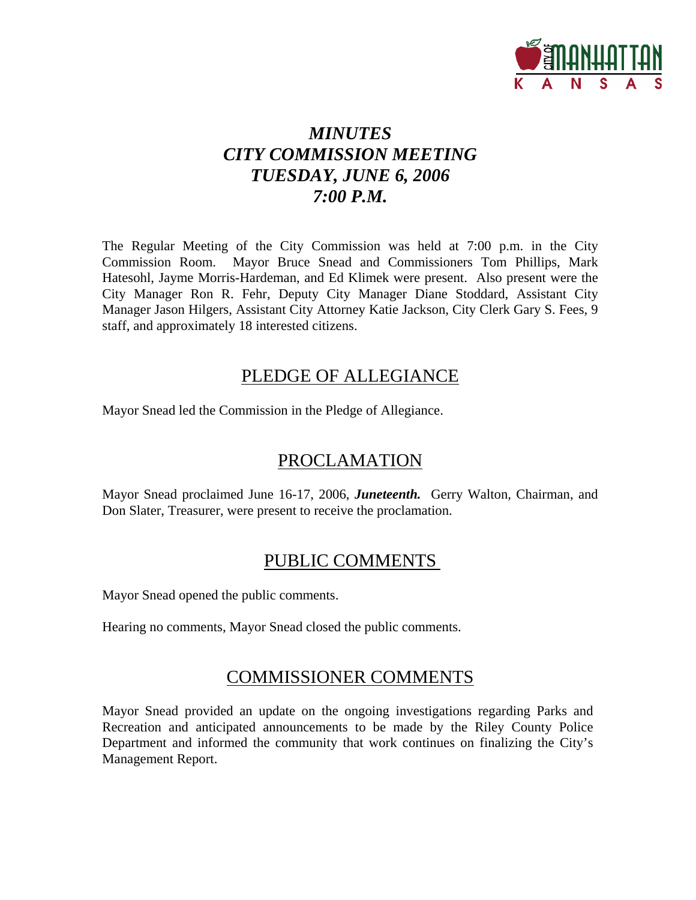

# *MINUTES CITY COMMISSION MEETING TUESDAY, JUNE 6, 2006 7:00 P.M.*

The Regular Meeting of the City Commission was held at 7:00 p.m. in the City Commission Room. Mayor Bruce Snead and Commissioners Tom Phillips, Mark Hatesohl, Jayme Morris-Hardeman, and Ed Klimek were present. Also present were the City Manager Ron R. Fehr, Deputy City Manager Diane Stoddard, Assistant City Manager Jason Hilgers, Assistant City Attorney Katie Jackson, City Clerk Gary S. Fees, 9 staff, and approximately 18 interested citizens.

# PLEDGE OF ALLEGIANCE

Mayor Snead led the Commission in the Pledge of Allegiance.

# PROCLAMATION

Mayor Snead proclaimed June 16-17, 2006, *Juneteenth.* Gerry Walton*,* Chairman, and Don Slater, Treasurer, were present to receive the proclamation.

# PUBLIC COMMENTS

Mayor Snead opened the public comments.

Hearing no comments, Mayor Snead closed the public comments.

# COMMISSIONER COMMENTS

Mayor Snead provided an update on the ongoing investigations regarding Parks and Recreation and anticipated announcements to be made by the Riley County Police Department and informed the community that work continues on finalizing the City's Management Report.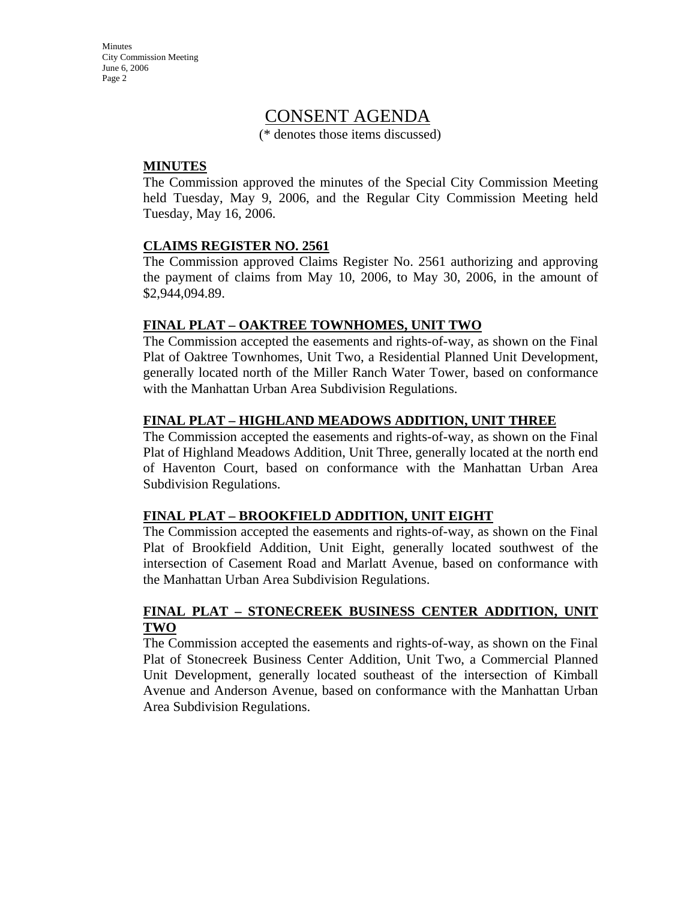# CONSENT AGENDA

(\* denotes those items discussed)

### **MINUTES**

The Commission approved the minutes of the Special City Commission Meeting held Tuesday, May 9, 2006, and the Regular City Commission Meeting held Tuesday, May 16, 2006.

### **CLAIMS REGISTER NO. 2561**

The Commission approved Claims Register No. 2561 authorizing and approving the payment of claims from May 10, 2006, to May 30, 2006, in the amount of \$2,944,094.89.

### **FINAL PLAT – OAKTREE TOWNHOMES, UNIT TWO**

The Commission accepted the easements and rights-of-way, as shown on the Final Plat of Oaktree Townhomes, Unit Two, a Residential Planned Unit Development, generally located north of the Miller Ranch Water Tower, based on conformance with the Manhattan Urban Area Subdivision Regulations.

### **FINAL PLAT – HIGHLAND MEADOWS ADDITION, UNIT THREE**

The Commission accepted the easements and rights-of-way, as shown on the Final Plat of Highland Meadows Addition, Unit Three, generally located at the north end of Haventon Court, based on conformance with the Manhattan Urban Area Subdivision Regulations.

#### **FINAL PLAT – BROOKFIELD ADDITION, UNIT EIGHT**

The Commission accepted the easements and rights-of-way, as shown on the Final Plat of Brookfield Addition, Unit Eight, generally located southwest of the intersection of Casement Road and Marlatt Avenue, based on conformance with the Manhattan Urban Area Subdivision Regulations.

### **FINAL PLAT – STONECREEK BUSINESS CENTER ADDITION, UNIT TWO**

The Commission accepted the easements and rights-of-way, as shown on the Final Plat of Stonecreek Business Center Addition, Unit Two, a Commercial Planned Unit Development, generally located southeast of the intersection of Kimball Avenue and Anderson Avenue, based on conformance with the Manhattan Urban Area Subdivision Regulations.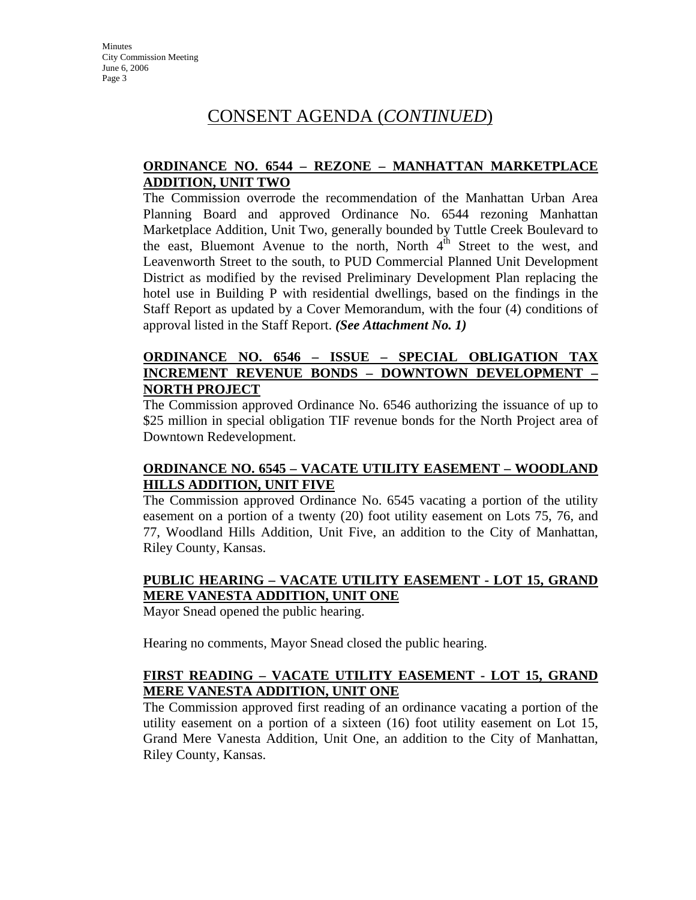# CONSENT AGENDA (*CONTINUED*)

### **ORDINANCE NO. 6544 – REZONE – MANHATTAN MARKETPLACE ADDITION, UNIT TWO**

The Commission overrode the recommendation of the Manhattan Urban Area Planning Board and approved Ordinance No. 6544 rezoning Manhattan Marketplace Addition, Unit Two, generally bounded by Tuttle Creek Boulevard to the east, Bluemont Avenue to the north, North  $4<sup>th</sup>$  Street to the west, and Leavenworth Street to the south, to PUD Commercial Planned Unit Development District as modified by the revised Preliminary Development Plan replacing the hotel use in Building P with residential dwellings, based on the findings in the Staff Report as updated by a Cover Memorandum, with the four (4) conditions of approval listed in the Staff Report. *(See Attachment No. 1)*

### **ORDINANCE NO. 6546 – ISSUE – SPECIAL OBLIGATION TAX INCREMENT REVENUE BONDS – DOWNTOWN DEVELOPMENT – NORTH PROJECT**

The Commission approved Ordinance No. 6546 authorizing the issuance of up to \$25 million in special obligation TIF revenue bonds for the North Project area of Downtown Redevelopment.

### **ORDINANCE NO. 6545 – VACATE UTILITY EASEMENT – WOODLAND HILLS ADDITION, UNIT FIVE**

The Commission approved Ordinance No. 6545 vacating a portion of the utility easement on a portion of a twenty (20) foot utility easement on Lots 75, 76, and 77, Woodland Hills Addition, Unit Five, an addition to the City of Manhattan, Riley County, Kansas.

### **PUBLIC HEARING – VACATE UTILITY EASEMENT - LOT 15, GRAND MERE VANESTA ADDITION, UNIT ONE**

Mayor Snead opened the public hearing.

Hearing no comments, Mayor Snead closed the public hearing.

### **FIRST READING – VACATE UTILITY EASEMENT - LOT 15, GRAND MERE VANESTA ADDITION, UNIT ONE**

The Commission approved first reading of an ordinance vacating a portion of the utility easement on a portion of a sixteen (16) foot utility easement on Lot 15, Grand Mere Vanesta Addition, Unit One, an addition to the City of Manhattan, Riley County, Kansas.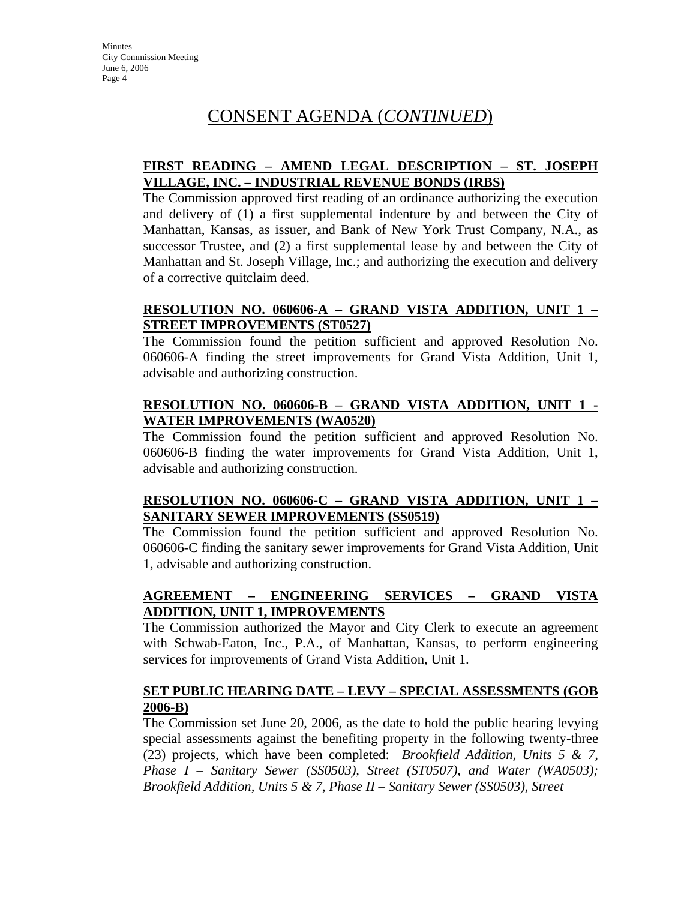# CONSENT AGENDA (*CONTINUED*)

### **FIRST READING – AMEND LEGAL DESCRIPTION – ST. JOSEPH VILLAGE, INC. – INDUSTRIAL REVENUE BONDS (IRBS)**

The Commission approved first reading of an ordinance authorizing the execution and delivery of (1) a first supplemental indenture by and between the City of Manhattan, Kansas, as issuer, and Bank of New York Trust Company, N.A., as successor Trustee, and (2) a first supplemental lease by and between the City of Manhattan and St. Joseph Village, Inc.; and authorizing the execution and delivery of a corrective quitclaim deed.

### **RESOLUTION NO. 060606-A – GRAND VISTA ADDITION, UNIT 1 – STREET IMPROVEMENTS (ST0527)**

The Commission found the petition sufficient and approved Resolution No. 060606-A finding the street improvements for Grand Vista Addition, Unit 1, advisable and authorizing construction.

### **RESOLUTION NO. 060606-B – GRAND VISTA ADDITION, UNIT 1 - WATER IMPROVEMENTS (WA0520)**

The Commission found the petition sufficient and approved Resolution No. 060606-B finding the water improvements for Grand Vista Addition, Unit 1, advisable and authorizing construction.

### **RESOLUTION NO. 060606-C – GRAND VISTA ADDITION, UNIT 1 – SANITARY SEWER IMPROVEMENTS (SS0519)**

The Commission found the petition sufficient and approved Resolution No. 060606-C finding the sanitary sewer improvements for Grand Vista Addition, Unit 1, advisable and authorizing construction.

## **AGREEMENT – ENGINEERING SERVICES – GRAND VISTA ADDITION, UNIT 1, IMPROVEMENTS**

The Commission authorized the Mayor and City Clerk to execute an agreement with Schwab-Eaton, Inc., P.A., of Manhattan, Kansas, to perform engineering services for improvements of Grand Vista Addition, Unit 1.

### **SET PUBLIC HEARING DATE – LEVY – SPECIAL ASSESSMENTS (GOB 2006-B)**

The Commission set June 20, 2006, as the date to hold the public hearing levying special assessments against the benefiting property in the following twenty-three (23) projects, which have been completed: *Brookfield Addition, Units 5 & 7, Phase I – Sanitary Sewer (SS0503), Street (ST0507), and Water (WA0503); Brookfield Addition, Units 5 & 7, Phase II – Sanitary Sewer (SS0503), Street*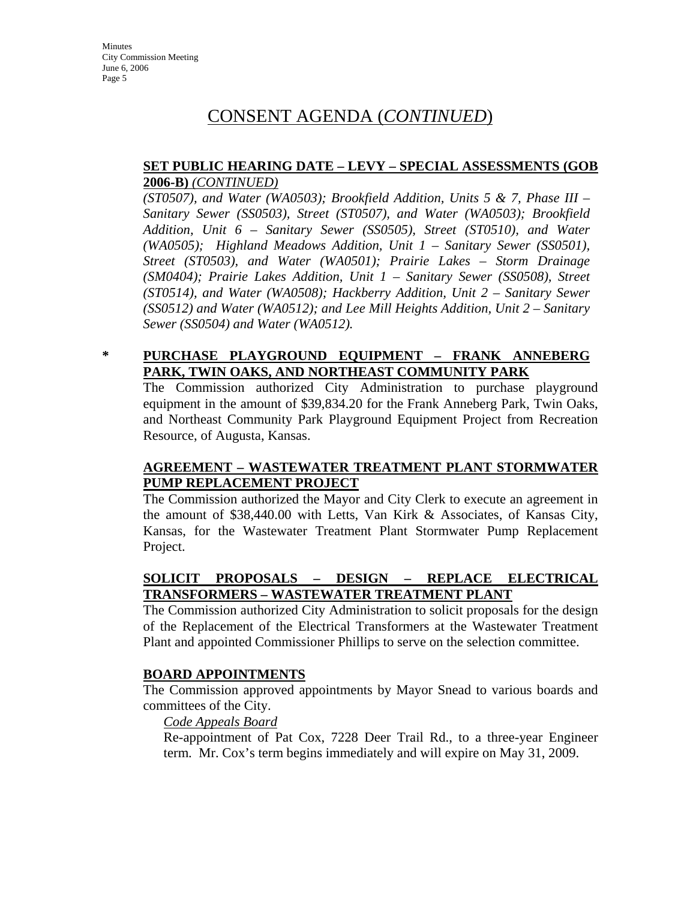# CONSENT AGENDA (*CONTINUED*)

### **SET PUBLIC HEARING DATE – LEVY – SPECIAL ASSESSMENTS (GOB 2006-B)** *(CONTINUED)*

*(ST0507), and Water (WA0503); Brookfield Addition, Units 5 & 7, Phase III – Sanitary Sewer (SS0503), Street (ST0507), and Water (WA0503); Brookfield Addition, Unit 6 – Sanitary Sewer (SS0505), Street (ST0510), and Water (WA0505); Highland Meadows Addition, Unit 1 – Sanitary Sewer (SS0501), Street (ST0503), and Water (WA0501); Prairie Lakes – Storm Drainage (SM0404); Prairie Lakes Addition, Unit 1 – Sanitary Sewer (SS0508), Street (ST0514), and Water (WA0508); Hackberry Addition, Unit 2 – Sanitary Sewer (SS0512) and Water (WA0512); and Lee Mill Heights Addition, Unit 2 – Sanitary Sewer (SS0504) and Water (WA0512).*

### **\* PURCHASE PLAYGROUND EQUIPMENT – FRANK ANNEBERG PARK, TWIN OAKS, AND NORTHEAST COMMUNITY PARK**

The Commission authorized City Administration to purchase playground equipment in the amount of \$39,834.20 for the Frank Anneberg Park, Twin Oaks, and Northeast Community Park Playground Equipment Project from Recreation Resource, of Augusta, Kansas.

### **AGREEMENT – WASTEWATER TREATMENT PLANT STORMWATER PUMP REPLACEMENT PROJECT**

The Commission authorized the Mayor and City Clerk to execute an agreement in the amount of \$38,440.00 with Letts, Van Kirk & Associates, of Kansas City, Kansas, for the Wastewater Treatment Plant Stormwater Pump Replacement Project.

### **SOLICIT PROPOSALS – DESIGN – REPLACE ELECTRICAL TRANSFORMERS – WASTEWATER TREATMENT PLANT**

The Commission authorized City Administration to solicit proposals for the design of the Replacement of the Electrical Transformers at the Wastewater Treatment Plant and appointed Commissioner Phillips to serve on the selection committee.

#### **BOARD APPOINTMENTS**

The Commission approved appointments by Mayor Snead to various boards and committees of the City.

#### *Code Appeals Board*

Re-appointment of Pat Cox, 7228 Deer Trail Rd., to a three-year Engineer term. Mr. Cox's term begins immediately and will expire on May 31, 2009.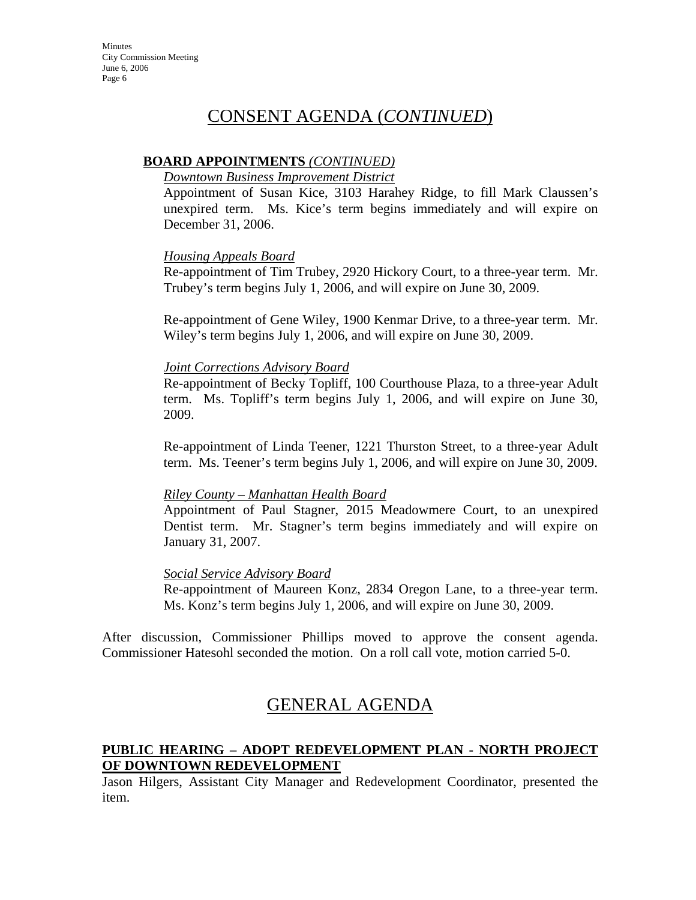# CONSENT AGENDA (*CONTINUED*)

### **BOARD APPOINTMENTS** *(CONTINUED)*

#### *Downtown Business Improvement District*

Appointment of Susan Kice, 3103 Harahey Ridge, to fill Mark Claussen's unexpired term. Ms. Kice's term begins immediately and will expire on December 31, 2006.

#### *Housing Appeals Board*

Re-appointment of Tim Trubey, 2920 Hickory Court, to a three-year term. Mr. Trubey's term begins July 1, 2006, and will expire on June 30, 2009.

Re-appointment of Gene Wiley, 1900 Kenmar Drive, to a three-year term. Mr. Wiley's term begins July 1, 2006, and will expire on June 30, 2009.

#### *Joint Corrections Advisory Board*

Re-appointment of Becky Topliff, 100 Courthouse Plaza, to a three-year Adult term. Ms. Topliff's term begins July 1, 2006, and will expire on June 30, 2009.

Re-appointment of Linda Teener, 1221 Thurston Street, to a three-year Adult term. Ms. Teener's term begins July 1, 2006, and will expire on June 30, 2009.

#### *Riley County – Manhattan Health Board*

Appointment of Paul Stagner, 2015 Meadowmere Court, to an unexpired Dentist term. Mr. Stagner's term begins immediately and will expire on January 31, 2007.

#### *Social Service Advisory Board*

Re-appointment of Maureen Konz, 2834 Oregon Lane, to a three-year term. Ms. Konz's term begins July 1, 2006, and will expire on June 30, 2009.

After discussion, Commissioner Phillips moved to approve the consent agenda. Commissioner Hatesohl seconded the motion. On a roll call vote, motion carried 5-0.

# GENERAL AGENDA

### **PUBLIC HEARING – ADOPT REDEVELOPMENT PLAN - NORTH PROJECT OF DOWNTOWN REDEVELOPMENT**

Jason Hilgers, Assistant City Manager and Redevelopment Coordinator, presented the item.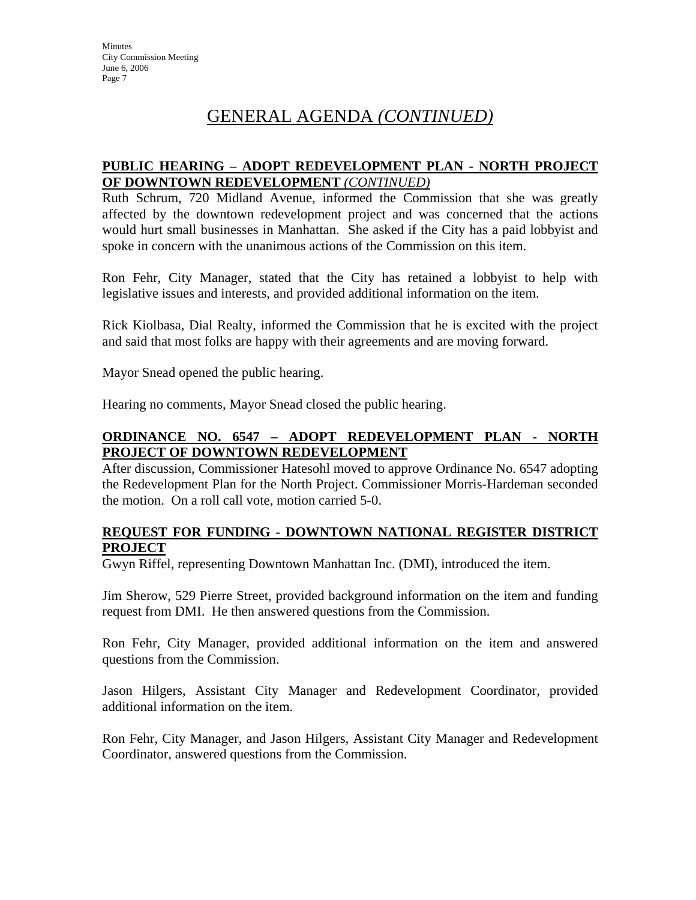# GENERAL AGENDA *(CONTINUED)*

### **PUBLIC HEARING – ADOPT REDEVELOPMENT PLAN - NORTH PROJECT OF DOWNTOWN REDEVELOPMENT** *(CONTINUED)*

Ruth Schrum, 720 Midland Avenue, informed the Commission that she was greatly affected by the downtown redevelopment project and was concerned that the actions would hurt small businesses in Manhattan. She asked if the City has a paid lobbyist and spoke in concern with the unanimous actions of the Commission on this item.

Ron Fehr, City Manager, stated that the City has retained a lobbyist to help with legislative issues and interests, and provided additional information on the item.

Rick Kiolbasa, Dial Realty, informed the Commission that he is excited with the project and said that most folks are happy with their agreements and are moving forward.

Mayor Snead opened the public hearing.

Hearing no comments, Mayor Snead closed the public hearing.

### **ORDINANCE NO. 6547 – ADOPT REDEVELOPMENT PLAN - NORTH PROJECT OF DOWNTOWN REDEVELOPMENT**

After discussion, Commissioner Hatesohl moved to approve Ordinance No. 6547 adopting the Redevelopment Plan for the North Project. Commissioner Morris-Hardeman seconded the motion. On a roll call vote, motion carried 5-0.

### **REQUEST FOR FUNDING - DOWNTOWN NATIONAL REGISTER DISTRICT PROJECT**

Gwyn Riffel, representing Downtown Manhattan Inc. (DMI), introduced the item.

Jim Sherow, 529 Pierre Street, provided background information on the item and funding request from DMI. He then answered questions from the Commission.

Ron Fehr, City Manager, provided additional information on the item and answered questions from the Commission.

Jason Hilgers, Assistant City Manager and Redevelopment Coordinator, provided additional information on the item.

Ron Fehr, City Manager, and Jason Hilgers, Assistant City Manager and Redevelopment Coordinator, answered questions from the Commission.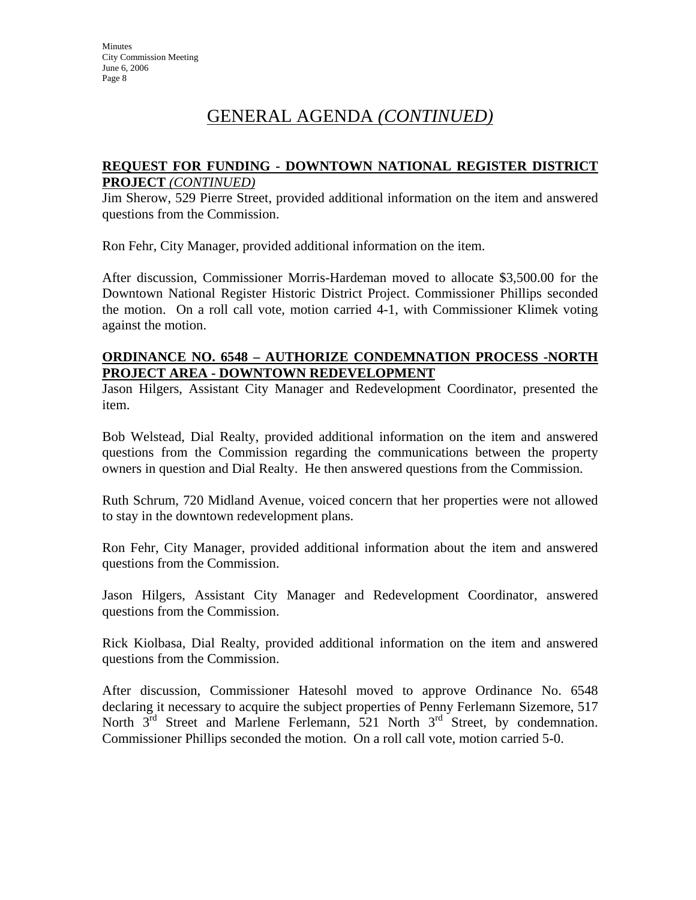# GENERAL AGENDA *(CONTINUED)*

### **REQUEST FOR FUNDING - DOWNTOWN NATIONAL REGISTER DISTRICT PROJECT** *(CONTINUED)*

Jim Sherow, 529 Pierre Street, provided additional information on the item and answered questions from the Commission.

Ron Fehr, City Manager, provided additional information on the item.

After discussion, Commissioner Morris-Hardeman moved to allocate \$3,500.00 for the Downtown National Register Historic District Project. Commissioner Phillips seconded the motion. On a roll call vote, motion carried 4-1, with Commissioner Klimek voting against the motion.

### **ORDINANCE NO. 6548 – AUTHORIZE CONDEMNATION PROCESS -NORTH PROJECT AREA - DOWNTOWN REDEVELOPMENT**

Jason Hilgers, Assistant City Manager and Redevelopment Coordinator, presented the item.

Bob Welstead, Dial Realty, provided additional information on the item and answered questions from the Commission regarding the communications between the property owners in question and Dial Realty. He then answered questions from the Commission.

Ruth Schrum, 720 Midland Avenue, voiced concern that her properties were not allowed to stay in the downtown redevelopment plans.

Ron Fehr, City Manager, provided additional information about the item and answered questions from the Commission.

Jason Hilgers, Assistant City Manager and Redevelopment Coordinator, answered questions from the Commission.

Rick Kiolbasa, Dial Realty, provided additional information on the item and answered questions from the Commission.

After discussion, Commissioner Hatesohl moved to approve Ordinance No. 6548 declaring it necessary to acquire the subject properties of Penny Ferlemann Sizemore, 517 North  $3<sup>rd</sup>$  Street and Marlene Ferlemann, 521 North  $3<sup>rd</sup>$  Street, by condemnation. Commissioner Phillips seconded the motion. On a roll call vote, motion carried 5-0.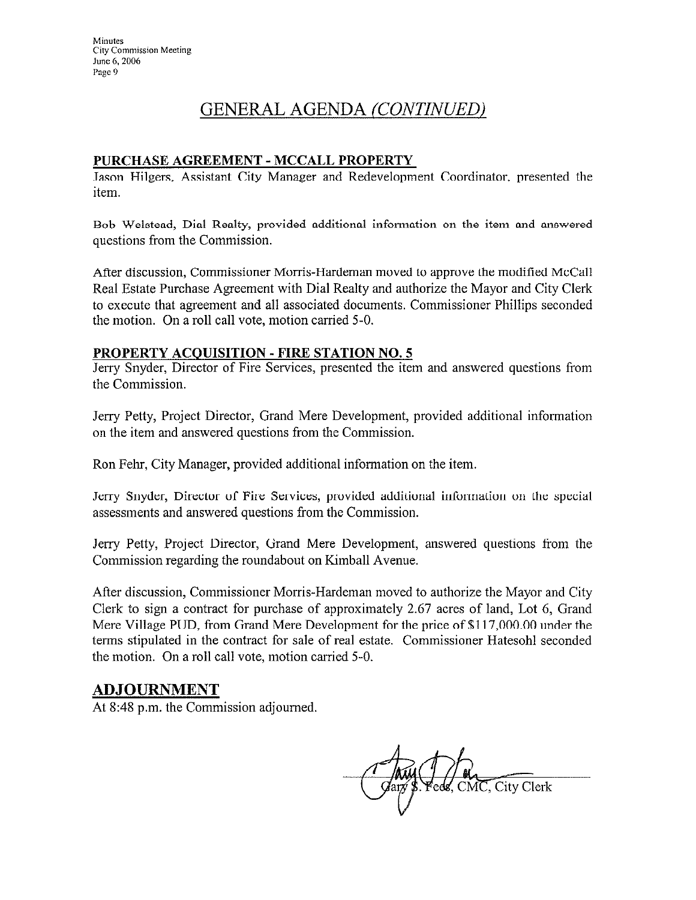# GENERAL AGENDA (CONTINUED)

### PURCHASE AGREEMENT - MCCALL PROPERTY

Jason Hilgers, Assistant City Manager and Redevelopment Coordinator, presented the item.

Bob Welstead, Dial Realty, provided additional information on the item and answered questions from the Commission.

After discussion, Commissioner Morris-Hardeman moved to approve the modified McCall Real Estate Purchase Agreement with Dial Realty and authorize the Mayor and City Clerk to execute that agreement and all associated documents. Commissioner Phillips seconded the motion. On a roll call vote, motion carried 5-0.

### **PROPERTY ACQUISITION - FIRE STATION NO. 5**

Jerry Snyder, Director of Fire Services, presented the item and answered questions from the Commission.

Jerry Petty, Project Director, Grand Mere Development, provided additional information on the item and answered questions from the Commission.

Ron Fehr, City Manager, provided additional information on the item.

Jerry Snyder, Director of Fire Services, provided additional information on the special assessments and answered questions from the Commission.

Jerry Petty, Project Director, Grand Mere Development, answered questions from the Commission regarding the roundabout on Kimball Avenue.

After discussion, Commissioner Morris-Hardeman moved to authorize the Mayor and City Clerk to sign a contract for purchase of approximately 2.67 acres of land, Lot 6, Grand Mere Village PUD, from Grand Mere Development for the price of \$117,000.00 under the terms stipulated in the contract for sale of real estate. Commissioner Hatesohl seconded the motion. On a roll call vote, motion carried 5-0.

## **ADJOURNMENT**

At 8:48 p.m. the Commission adjourned.

CMC, City Clerk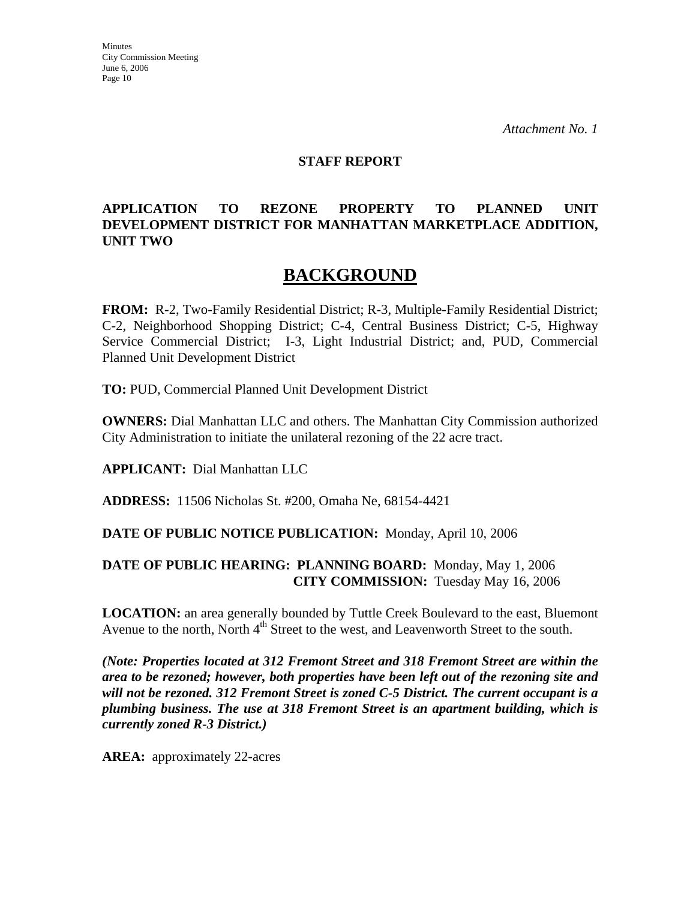#### **STAFF REPORT**

### **APPLICATION TO REZONE PROPERTY TO PLANNED UNIT DEVELOPMENT DISTRICT FOR MANHATTAN MARKETPLACE ADDITION, UNIT TWO**

# **BACKGROUND**

**FROM:** R-2, Two-Family Residential District; R-3, Multiple-Family Residential District; C-2, Neighborhood Shopping District; C-4, Central Business District; C-5, Highway Service Commercial District; I-3, Light Industrial District; and, PUD, Commercial Planned Unit Development District

**TO:** PUD, Commercial Planned Unit Development District

**OWNERS:** Dial Manhattan LLC and others. The Manhattan City Commission authorized City Administration to initiate the unilateral rezoning of the 22 acre tract.

**APPLICANT:** Dial Manhattan LLC

**ADDRESS:** 11506 Nicholas St. #200, Omaha Ne, 68154-4421

#### **DATE OF PUBLIC NOTICE PUBLICATION:** Monday, April 10, 2006

### **DATE OF PUBLIC HEARING: PLANNING BOARD:** Monday, May 1, 2006 **CITY COMMISSION:** Tuesday May 16, 2006

**LOCATION:** an area generally bounded by Tuttle Creek Boulevard to the east, Bluemont Avenue to the north, North 4<sup>th</sup> Street to the west, and Leavenworth Street to the south.

*(Note: Properties located at 312 Fremont Street and 318 Fremont Street are within the area to be rezoned; however, both properties have been left out of the rezoning site and will not be rezoned. 312 Fremont Street is zoned C-5 District. The current occupant is a plumbing business. The use at 318 Fremont Street is an apartment building, which is currently zoned R-3 District.)*

**AREA:** approximately 22-acres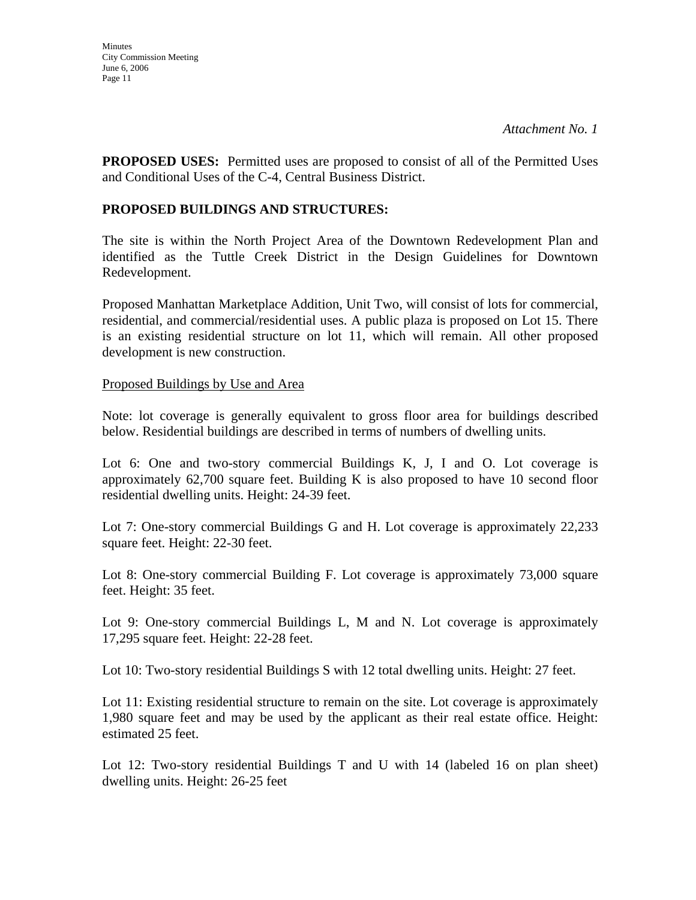**PROPOSED USES:** Permitted uses are proposed to consist of all of the Permitted Uses and Conditional Uses of the C-4, Central Business District.

### **PROPOSED BUILDINGS AND STRUCTURES:**

The site is within the North Project Area of the Downtown Redevelopment Plan and identified as the Tuttle Creek District in the Design Guidelines for Downtown Redevelopment.

Proposed Manhattan Marketplace Addition, Unit Two, will consist of lots for commercial, residential, and commercial/residential uses. A public plaza is proposed on Lot 15. There is an existing residential structure on lot 11, which will remain. All other proposed development is new construction.

### Proposed Buildings by Use and Area

Note: lot coverage is generally equivalent to gross floor area for buildings described below. Residential buildings are described in terms of numbers of dwelling units.

Lot 6: One and two-story commercial Buildings K, J, I and O. Lot coverage is approximately 62,700 square feet. Building K is also proposed to have 10 second floor residential dwelling units. Height: 24-39 feet.

Lot 7: One-story commercial Buildings G and H. Lot coverage is approximately 22,233 square feet. Height: 22-30 feet.

Lot 8: One-story commercial Building F. Lot coverage is approximately 73,000 square feet. Height: 35 feet.

Lot 9: One-story commercial Buildings L, M and N. Lot coverage is approximately 17,295 square feet. Height: 22-28 feet.

Lot 10: Two-story residential Buildings S with 12 total dwelling units. Height: 27 feet.

Lot 11: Existing residential structure to remain on the site. Lot coverage is approximately 1,980 square feet and may be used by the applicant as their real estate office. Height: estimated 25 feet.

Lot 12: Two-story residential Buildings T and U with 14 (labeled 16 on plan sheet) dwelling units. Height: 26-25 feet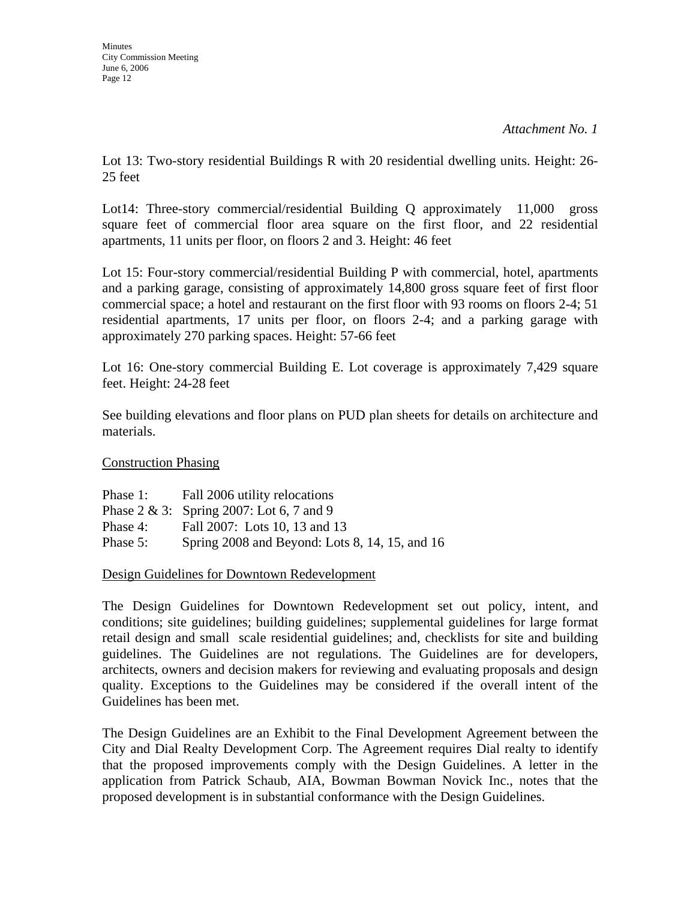Lot 13: Two-story residential Buildings R with 20 residential dwelling units. Height: 26- 25 feet

Lot14: Three-story commercial/residential Building Q approximately 11,000 gross square feet of commercial floor area square on the first floor, and 22 residential apartments, 11 units per floor, on floors 2 and 3. Height: 46 feet

Lot 15: Four-story commercial/residential Building P with commercial, hotel, apartments and a parking garage, consisting of approximately 14,800 gross square feet of first floor commercial space; a hotel and restaurant on the first floor with 93 rooms on floors 2-4; 51 residential apartments, 17 units per floor, on floors 2-4; and a parking garage with approximately 270 parking spaces. Height: 57-66 feet

Lot 16: One-story commercial Building E. Lot coverage is approximately 7,429 square feet. Height: 24-28 feet

See building elevations and floor plans on PUD plan sheets for details on architecture and materials.

Construction Phasing

Phase 1: Fall 2006 utility relocations Phase 2 & 3: Spring 2007: Lot 6, 7 and 9 Phase 4: Fall 2007: Lots 10, 13 and 13 Phase 5: Spring 2008 and Beyond: Lots 8, 14, 15, and 16

Design Guidelines for Downtown Redevelopment

The Design Guidelines for Downtown Redevelopment set out policy, intent, and conditions; site guidelines; building guidelines; supplemental guidelines for large format retail design and small scale residential guidelines; and, checklists for site and building guidelines. The Guidelines are not regulations. The Guidelines are for developers, architects, owners and decision makers for reviewing and evaluating proposals and design quality. Exceptions to the Guidelines may be considered if the overall intent of the Guidelines has been met.

The Design Guidelines are an Exhibit to the Final Development Agreement between the City and Dial Realty Development Corp. The Agreement requires Dial realty to identify that the proposed improvements comply with the Design Guidelines. A letter in the application from Patrick Schaub, AIA, Bowman Bowman Novick Inc., notes that the proposed development is in substantial conformance with the Design Guidelines.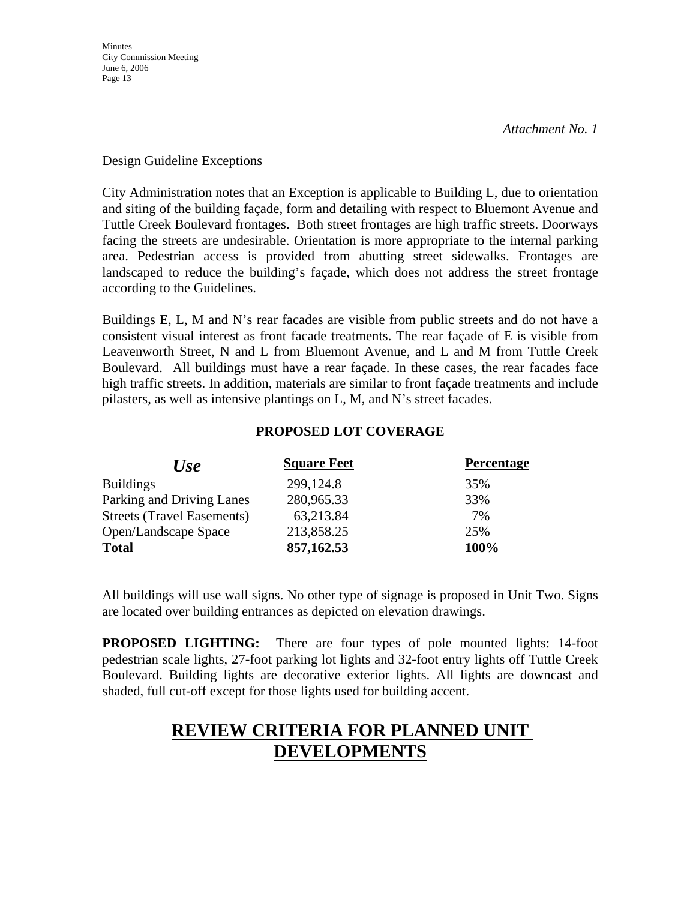#### Design Guideline Exceptions

City Administration notes that an Exception is applicable to Building L, due to orientation and siting of the building façade, form and detailing with respect to Bluemont Avenue and Tuttle Creek Boulevard frontages. Both street frontages are high traffic streets. Doorways facing the streets are undesirable. Orientation is more appropriate to the internal parking area. Pedestrian access is provided from abutting street sidewalks. Frontages are landscaped to reduce the building's façade, which does not address the street frontage according to the Guidelines.

Buildings E, L, M and N's rear facades are visible from public streets and do not have a consistent visual interest as front facade treatments. The rear façade of E is visible from Leavenworth Street, N and L from Bluemont Avenue, and L and M from Tuttle Creek Boulevard. All buildings must have a rear façade. In these cases, the rear facades face high traffic streets. In addition, materials are similar to front façade treatments and include pilasters, as well as intensive plantings on L, M, and N's street facades.

### **PROPOSED LOT COVERAGE**

| <b>Use</b>                        | <b>Square Feet</b> | <b>Percentage</b> |
|-----------------------------------|--------------------|-------------------|
| <b>Buildings</b>                  | 299,124.8          | 35%               |
| Parking and Driving Lanes         | 280,965.33         | 33%               |
| <b>Streets (Travel Easements)</b> | 63,213.84          | 7%                |
| Open/Landscape Space              | 213,858.25         | 25%               |
| <b>Total</b>                      | 857,162.53         | 100%              |

All buildings will use wall signs. No other type of signage is proposed in Unit Two. Signs are located over building entrances as depicted on elevation drawings.

**PROPOSED LIGHTING:** There are four types of pole mounted lights: 14-foot pedestrian scale lights, 27-foot parking lot lights and 32-foot entry lights off Tuttle Creek Boulevard. Building lights are decorative exterior lights. All lights are downcast and shaded, full cut-off except for those lights used for building accent.

# **REVIEW CRITERIA FOR PLANNED UNIT DEVELOPMENTS**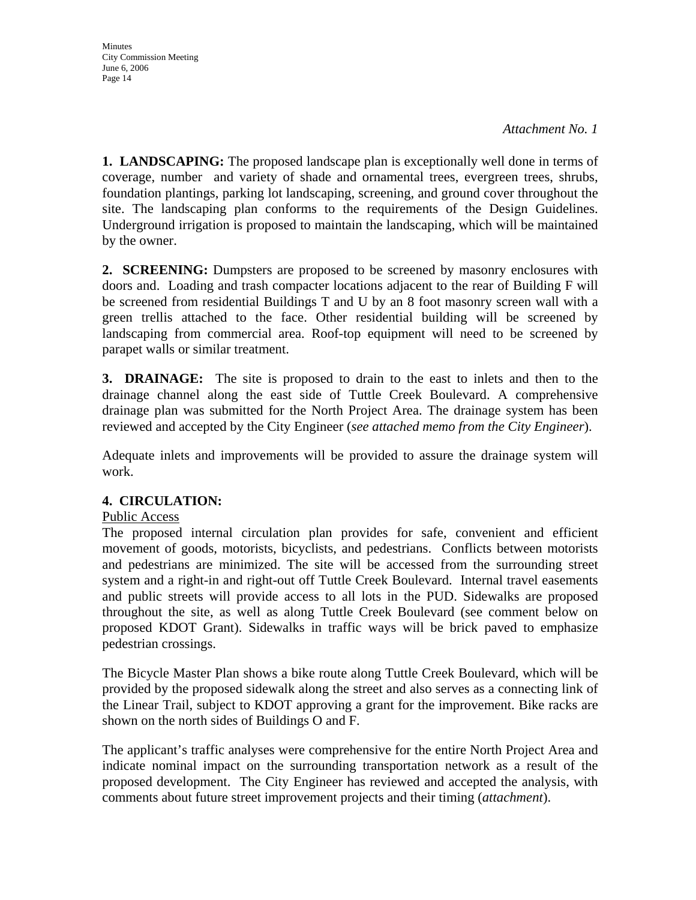*Attachment No. 1*

**1. LANDSCAPING:** The proposed landscape plan is exceptionally well done in terms of coverage, number and variety of shade and ornamental trees, evergreen trees, shrubs, foundation plantings, parking lot landscaping, screening, and ground cover throughout the site. The landscaping plan conforms to the requirements of the Design Guidelines. Underground irrigation is proposed to maintain the landscaping, which will be maintained by the owner.

**2. SCREENING:** Dumpsters are proposed to be screened by masonry enclosures with doors and. Loading and trash compacter locations adjacent to the rear of Building F will be screened from residential Buildings T and U by an 8 foot masonry screen wall with a green trellis attached to the face. Other residential building will be screened by landscaping from commercial area. Roof-top equipment will need to be screened by parapet walls or similar treatment.

**3. DRAINAGE:** The site is proposed to drain to the east to inlets and then to the drainage channel along the east side of Tuttle Creek Boulevard. A comprehensive drainage plan was submitted for the North Project Area. The drainage system has been reviewed and accepted by the City Engineer (*see attached memo from the City Engineer*).

Adequate inlets and improvements will be provided to assure the drainage system will work.

## **4. CIRCULATION:**

## Public Access

The proposed internal circulation plan provides for safe, convenient and efficient movement of goods, motorists, bicyclists, and pedestrians. Conflicts between motorists and pedestrians are minimized. The site will be accessed from the surrounding street system and a right-in and right-out off Tuttle Creek Boulevard. Internal travel easements and public streets will provide access to all lots in the PUD. Sidewalks are proposed throughout the site, as well as along Tuttle Creek Boulevard (see comment below on proposed KDOT Grant). Sidewalks in traffic ways will be brick paved to emphasize pedestrian crossings.

The Bicycle Master Plan shows a bike route along Tuttle Creek Boulevard, which will be provided by the proposed sidewalk along the street and also serves as a connecting link of the Linear Trail, subject to KDOT approving a grant for the improvement. Bike racks are shown on the north sides of Buildings O and F.

The applicant's traffic analyses were comprehensive for the entire North Project Area and indicate nominal impact on the surrounding transportation network as a result of the proposed development. The City Engineer has reviewed and accepted the analysis, with comments about future street improvement projects and their timing (*attachment*).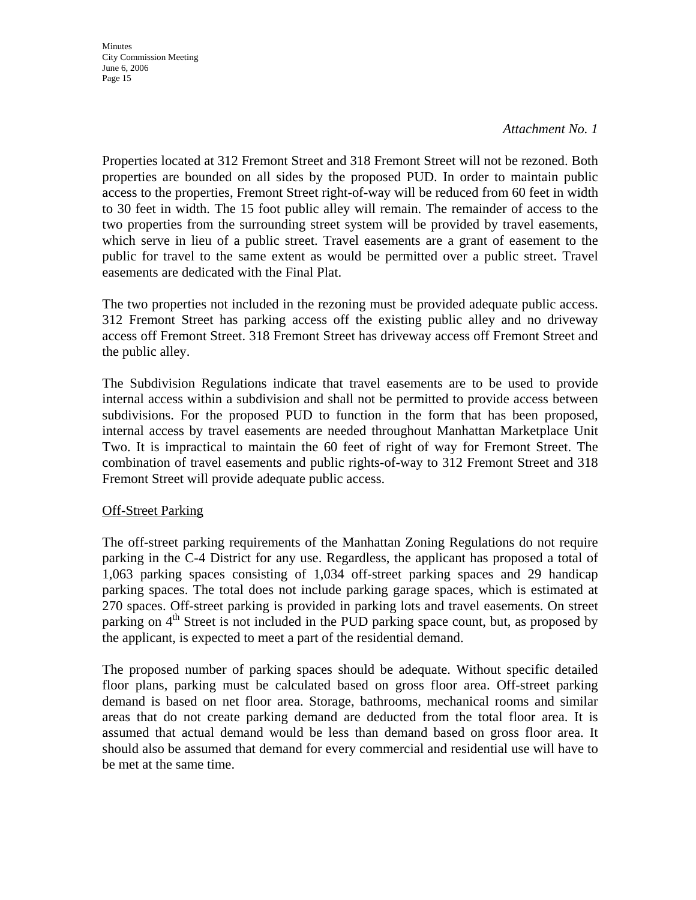#### *Attachment No. 1*

Properties located at 312 Fremont Street and 318 Fremont Street will not be rezoned. Both properties are bounded on all sides by the proposed PUD. In order to maintain public access to the properties, Fremont Street right-of-way will be reduced from 60 feet in width to 30 feet in width. The 15 foot public alley will remain. The remainder of access to the two properties from the surrounding street system will be provided by travel easements, which serve in lieu of a public street. Travel easements are a grant of easement to the public for travel to the same extent as would be permitted over a public street. Travel easements are dedicated with the Final Plat.

The two properties not included in the rezoning must be provided adequate public access. 312 Fremont Street has parking access off the existing public alley and no driveway access off Fremont Street. 318 Fremont Street has driveway access off Fremont Street and the public alley.

The Subdivision Regulations indicate that travel easements are to be used to provide internal access within a subdivision and shall not be permitted to provide access between subdivisions. For the proposed PUD to function in the form that has been proposed, internal access by travel easements are needed throughout Manhattan Marketplace Unit Two. It is impractical to maintain the 60 feet of right of way for Fremont Street. The combination of travel easements and public rights-of-way to 312 Fremont Street and 318 Fremont Street will provide adequate public access.

#### Off-Street Parking

The off-street parking requirements of the Manhattan Zoning Regulations do not require parking in the C-4 District for any use. Regardless, the applicant has proposed a total of 1,063 parking spaces consisting of 1,034 off-street parking spaces and 29 handicap parking spaces. The total does not include parking garage spaces, which is estimated at 270 spaces. Off-street parking is provided in parking lots and travel easements. On street parking on 4<sup>th</sup> Street is not included in the PUD parking space count, but, as proposed by the applicant, is expected to meet a part of the residential demand.

The proposed number of parking spaces should be adequate. Without specific detailed floor plans, parking must be calculated based on gross floor area. Off-street parking demand is based on net floor area. Storage, bathrooms, mechanical rooms and similar areas that do not create parking demand are deducted from the total floor area. It is assumed that actual demand would be less than demand based on gross floor area. It should also be assumed that demand for every commercial and residential use will have to be met at the same time.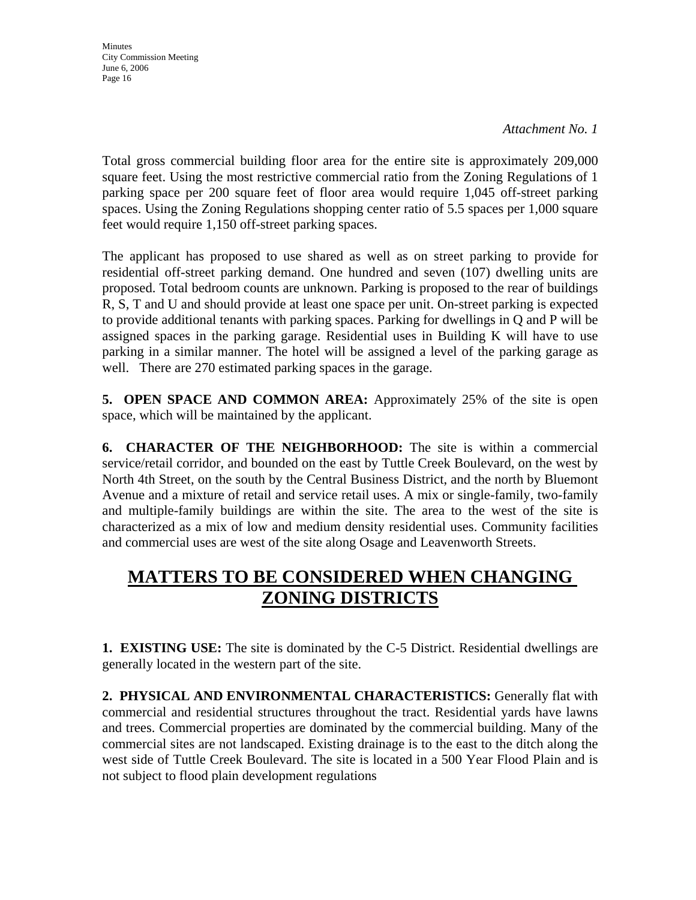*Attachment No. 1*

Total gross commercial building floor area for the entire site is approximately 209,000 square feet. Using the most restrictive commercial ratio from the Zoning Regulations of 1 parking space per 200 square feet of floor area would require 1,045 off-street parking spaces. Using the Zoning Regulations shopping center ratio of 5.5 spaces per 1,000 square feet would require 1,150 off-street parking spaces.

The applicant has proposed to use shared as well as on street parking to provide for residential off-street parking demand. One hundred and seven (107) dwelling units are proposed. Total bedroom counts are unknown. Parking is proposed to the rear of buildings R, S, T and U and should provide at least one space per unit. On-street parking is expected to provide additional tenants with parking spaces. Parking for dwellings in Q and P will be assigned spaces in the parking garage. Residential uses in Building K will have to use parking in a similar manner. The hotel will be assigned a level of the parking garage as well. There are 270 estimated parking spaces in the garage.

**5. OPEN SPACE AND COMMON AREA:** Approximately 25% of the site is open space, which will be maintained by the applicant.

**6. CHARACTER OF THE NEIGHBORHOOD:** The site is within a commercial service/retail corridor, and bounded on the east by Tuttle Creek Boulevard, on the west by North 4th Street, on the south by the Central Business District, and the north by Bluemont Avenue and a mixture of retail and service retail uses. A mix or single-family, two-family and multiple-family buildings are within the site. The area to the west of the site is characterized as a mix of low and medium density residential uses. Community facilities and commercial uses are west of the site along Osage and Leavenworth Streets.

# **MATTERS TO BE CONSIDERED WHEN CHANGING ZONING DISTRICTS**

**1. EXISTING USE:** The site is dominated by the C-5 District. Residential dwellings are generally located in the western part of the site.

**2. PHYSICAL AND ENVIRONMENTAL CHARACTERISTICS:** Generally flat with commercial and residential structures throughout the tract. Residential yards have lawns and trees. Commercial properties are dominated by the commercial building. Many of the commercial sites are not landscaped. Existing drainage is to the east to the ditch along the west side of Tuttle Creek Boulevard. The site is located in a 500 Year Flood Plain and is not subject to flood plain development regulations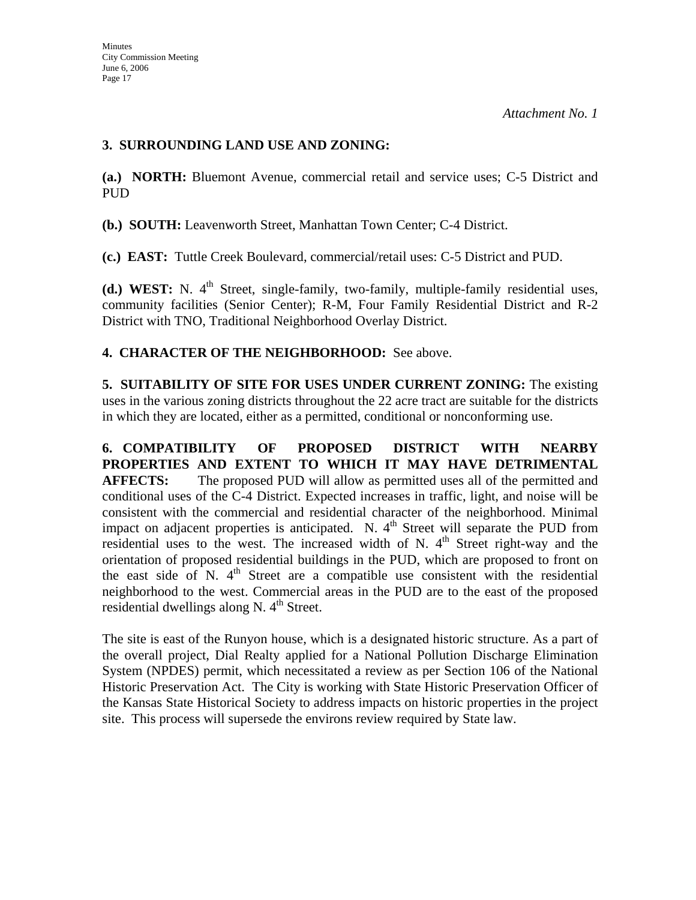### **3. SURROUNDING LAND USE AND ZONING:**

**(a.) NORTH:** Bluemont Avenue, commercial retail and service uses; C-5 District and PUD

**(b.) SOUTH:** Leavenworth Street, Manhattan Town Center; C-4 District.

**(c.) EAST:** Tuttle Creek Boulevard, commercial/retail uses: C-5 District and PUD.

**(d.) WEST:** N. 4<sup>th</sup> Street, single-family, two-family, multiple-family residential uses, community facilities (Senior Center); R-M, Four Family Residential District and R-2 District with TNO, Traditional Neighborhood Overlay District.

### **4. CHARACTER OF THE NEIGHBORHOOD:** See above.

**5. SUITABILITY OF SITE FOR USES UNDER CURRENT ZONING:** The existing uses in the various zoning districts throughout the 22 acre tract are suitable for the districts in which they are located, either as a permitted, conditional or nonconforming use.

**6. COMPATIBILITY OF PROPOSED DISTRICT WITH NEARBY PROPERTIES AND EXTENT TO WHICH IT MAY HAVE DETRIMENTAL AFFECTS:** The proposed PUD will allow as permitted uses all of the permitted and conditional uses of the C-4 District. Expected increases in traffic, light, and noise will be consistent with the commercial and residential character of the neighborhood. Minimal impact on adjacent properties is anticipated. N.  $4<sup>th</sup>$  Street will separate the PUD from residential uses to the west. The increased width of N.  $4<sup>th</sup>$  Street right-way and the orientation of proposed residential buildings in the PUD, which are proposed to front on the east side of  $N$ .  $4<sup>th</sup>$  Street are a compatible use consistent with the residential neighborhood to the west. Commercial areas in the PUD are to the east of the proposed residential dwellings along N.  $4<sup>th</sup>$  Street.

The site is east of the Runyon house, which is a designated historic structure. As a part of the overall project, Dial Realty applied for a National Pollution Discharge Elimination System (NPDES) permit, which necessitated a review as per Section 106 of the National Historic Preservation Act. The City is working with State Historic Preservation Officer of the Kansas State Historical Society to address impacts on historic properties in the project site. This process will supersede the environs review required by State law.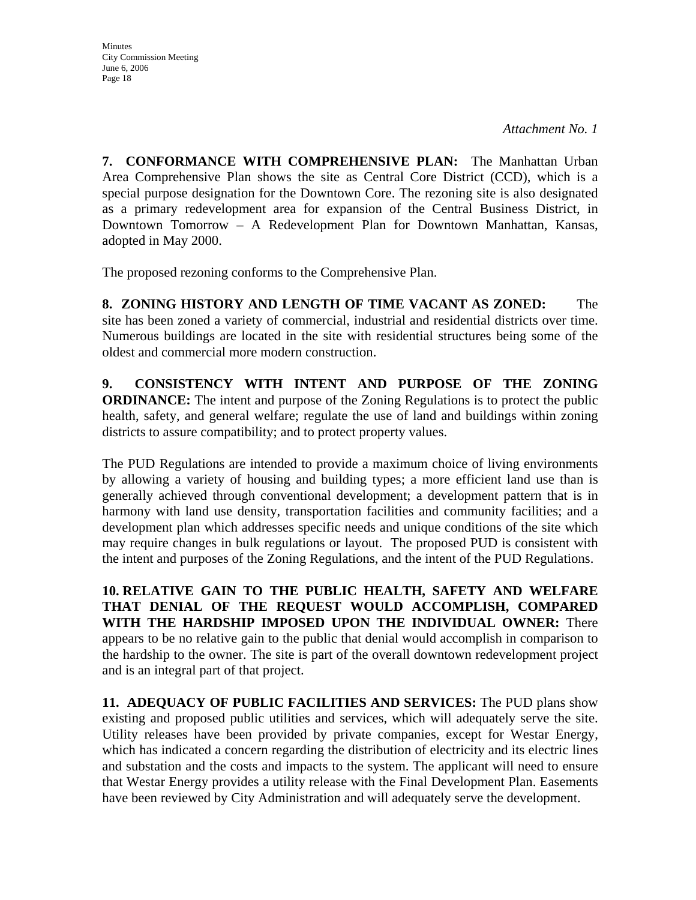*Attachment No. 1*

**7. CONFORMANCE WITH COMPREHENSIVE PLAN:** The Manhattan Urban Area Comprehensive Plan shows the site as Central Core District (CCD), which is a special purpose designation for the Downtown Core. The rezoning site is also designated as a primary redevelopment area for expansion of the Central Business District, in Downtown Tomorrow – A Redevelopment Plan for Downtown Manhattan, Kansas, adopted in May 2000.

The proposed rezoning conforms to the Comprehensive Plan.

**8. ZONING HISTORY AND LENGTH OF TIME VACANT AS ZONED:** The site has been zoned a variety of commercial, industrial and residential districts over time. Numerous buildings are located in the site with residential structures being some of the oldest and commercial more modern construction.

**9. CONSISTENCY WITH INTENT AND PURPOSE OF THE ZONING ORDINANCE:** The intent and purpose of the Zoning Regulations is to protect the public health, safety, and general welfare; regulate the use of land and buildings within zoning districts to assure compatibility; and to protect property values.

The PUD Regulations are intended to provide a maximum choice of living environments by allowing a variety of housing and building types; a more efficient land use than is generally achieved through conventional development; a development pattern that is in harmony with land use density, transportation facilities and community facilities; and a development plan which addresses specific needs and unique conditions of the site which may require changes in bulk regulations or layout. The proposed PUD is consistent with the intent and purposes of the Zoning Regulations, and the intent of the PUD Regulations.

**10. RELATIVE GAIN TO THE PUBLIC HEALTH, SAFETY AND WELFARE THAT DENIAL OF THE REQUEST WOULD ACCOMPLISH, COMPARED WITH THE HARDSHIP IMPOSED UPON THE INDIVIDUAL OWNER:** There appears to be no relative gain to the public that denial would accomplish in comparison to the hardship to the owner. The site is part of the overall downtown redevelopment project and is an integral part of that project.

**11. ADEQUACY OF PUBLIC FACILITIES AND SERVICES:** The PUD plans show existing and proposed public utilities and services, which will adequately serve the site. Utility releases have been provided by private companies, except for Westar Energy, which has indicated a concern regarding the distribution of electricity and its electric lines and substation and the costs and impacts to the system. The applicant will need to ensure that Westar Energy provides a utility release with the Final Development Plan. Easements have been reviewed by City Administration and will adequately serve the development.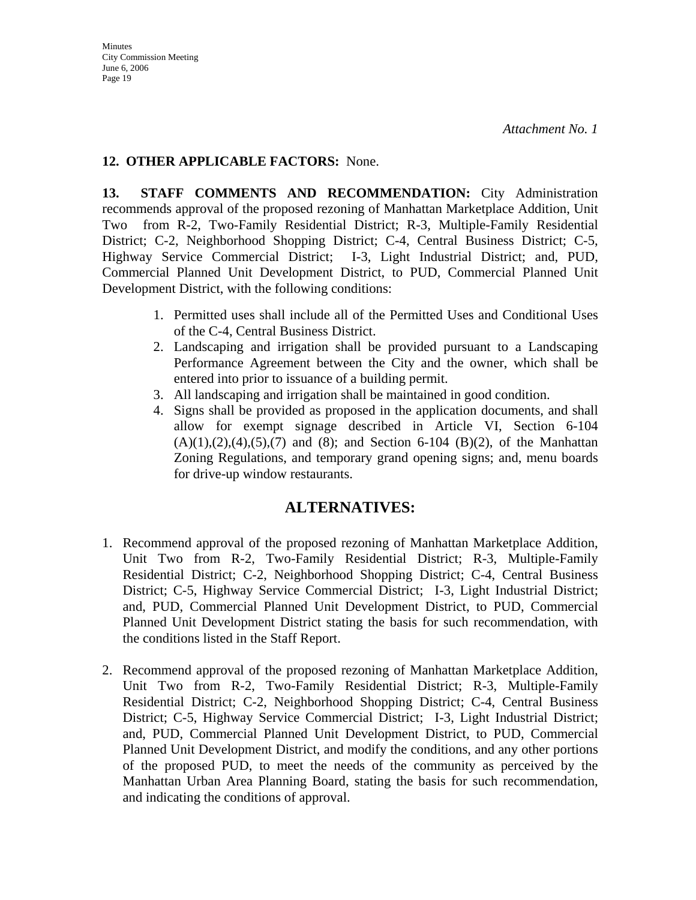## **12. OTHER APPLICABLE FACTORS:** None.

**13. STAFF COMMENTS AND RECOMMENDATION:** City Administration recommends approval of the proposed rezoning of Manhattan Marketplace Addition, Unit Two from R-2, Two-Family Residential District; R-3, Multiple-Family Residential District; C-2, Neighborhood Shopping District; C-4, Central Business District; C-5, Highway Service Commercial District; I-3, Light Industrial District; and, PUD, Commercial Planned Unit Development District, to PUD, Commercial Planned Unit Development District, with the following conditions:

- 1. Permitted uses shall include all of the Permitted Uses and Conditional Uses of the C-4, Central Business District.
- 2. Landscaping and irrigation shall be provided pursuant to a Landscaping Performance Agreement between the City and the owner, which shall be entered into prior to issuance of a building permit.
- 3. All landscaping and irrigation shall be maintained in good condition.
- 4. Signs shall be provided as proposed in the application documents, and shall allow for exempt signage described in Article VI, Section 6-104  $(A)(1),(2),(4),(5),(7)$  and  $(8)$ ; and Section 6-104  $(B)(2)$ , of the Manhattan Zoning Regulations, and temporary grand opening signs; and, menu boards for drive-up window restaurants.

## **ALTERNATIVES:**

- 1. Recommend approval of the proposed rezoning of Manhattan Marketplace Addition, Unit Two from R-2, Two-Family Residential District; R-3, Multiple-Family Residential District; C-2, Neighborhood Shopping District; C-4, Central Business District; C-5, Highway Service Commercial District; I-3, Light Industrial District; and, PUD, Commercial Planned Unit Development District, to PUD, Commercial Planned Unit Development District stating the basis for such recommendation, with the conditions listed in the Staff Report.
- 2. Recommend approval of the proposed rezoning of Manhattan Marketplace Addition, Unit Two from R-2, Two-Family Residential District; R-3, Multiple-Family Residential District; C-2, Neighborhood Shopping District; C-4, Central Business District; C-5, Highway Service Commercial District; I-3, Light Industrial District; and, PUD, Commercial Planned Unit Development District, to PUD, Commercial Planned Unit Development District, and modify the conditions, and any other portions of the proposed PUD, to meet the needs of the community as perceived by the Manhattan Urban Area Planning Board, stating the basis for such recommendation, and indicating the conditions of approval.